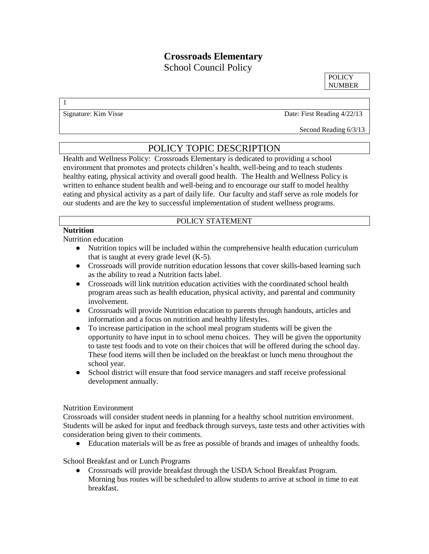# **Crossroads Elementary**

School Council Policy

**POLICY** NUMBER

1

Signature: Kim Visse Date: First Reading 4/22/13

Second Reading 6/3/13

## POLICY TOPIC DESCRIPTION

Health and Wellness Policy: Crossroads Elementary is dedicated to providing a school environment that promotes and protects children's health, well-being and to teach students healthy eating, physical activity and overall good health. The Health and Wellness Policy is written to enhance student health and well-being and to encourage our staff to model healthy eating and physical activity as a part of daily life. Our faculty and staff serve as role models for our students and are the key to successful implementation of student wellness programs.

# POLICY STATEMENT

# **Nutrition**

Nutrition education

- Nutrition topics will be included within the comprehensive health education curriculum that is taught at every grade level (K-5).
- Crossroads will provide nutrition education lessons that cover skills-based learning such as the ability to read a Nutrition facts label.
- Crossroads will link nutrition education activities with the coordinated school health program areas such as health education, physical activity, and parental and community involvement.
- Crossroads will provide Nutrition education to parents through handouts, articles and information and a focus on nutrition and healthy lifestyles.
- To increase participation in the school meal program students will be given the opportunity to have input in to school menu choices. They will be given the opportunity to taste test foods and to vote on their choices that will be offered during the school day. These food items will then be included on the breakfast or lunch menu throughout the school year.
- School district will ensure that food service managers and staff receive professional development annually.

#### Nutrition Environment

Crossroads will consider student needs in planning for a healthy school nutrition environment. Students will be asked for input and feedback through surveys, taste tests and other activities with consideration being given to their comments.

● Education materials will be as free as possible of brands and images of unhealthy foods.

School Breakfast and or Lunch Programs

● Crossroads will provide breakfast through the USDA School Breakfast Program. Morning bus routes will be scheduled to allow students to arrive at school in time to eat breakfast.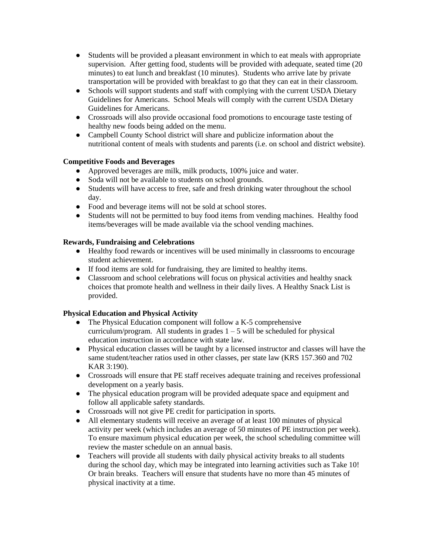- Students will be provided a pleasant environment in which to eat meals with appropriate supervision. After getting food, students will be provided with adequate, seated time (20 minutes) to eat lunch and breakfast (10 minutes). Students who arrive late by private transportation will be provided with breakfast to go that they can eat in their classroom.
- Schools will support students and staff with complying with the current USDA Dietary Guidelines for Americans. School Meals will comply with the current USDA Dietary Guidelines for Americans.
- Crossroads will also provide occasional food promotions to encourage taste testing of healthy new foods being added on the menu.
- Campbell County School district will share and publicize information about the nutritional content of meals with students and parents (i.e. on school and district website).

### **Competitive Foods and Beverages**

- Approved beverages are milk, milk products, 100% juice and water.
- Soda will not be available to students on school grounds.
- Students will have access to free, safe and fresh drinking water throughout the school day.
- Food and beverage items will not be sold at school stores.
- Students will not be permitted to buy food items from vending machines. Healthy food items/beverages will be made available via the school vending machines.

### **Rewards, Fundraising and Celebrations**

- Healthy food rewards or incentives will be used minimally in classrooms to encourage student achievement.
- If food items are sold for fundraising, they are limited to healthy items.
- Classroom and school celebrations will focus on physical activities and healthy snack choices that promote health and wellness in their daily lives. A Healthy Snack List is provided.

## **Physical Education and Physical Activity**

- The Physical Education component will follow a K-5 comprehensive curriculum/program. All students in grades  $1 - 5$  will be scheduled for physical education instruction in accordance with state law.
- Physical education classes will be taught by a licensed instructor and classes will have the same student/teacher ratios used in other classes, per state law (KRS 157.360 and 702 KAR 3:190).
- Crossroads will ensure that PE staff receives adequate training and receives professional development on a yearly basis.
- The physical education program will be provided adequate space and equipment and follow all applicable safety standards.
- Crossroads will not give PE credit for participation in sports.
- All elementary students will receive an average of at least 100 minutes of physical activity per week (which includes an average of 50 minutes of PE instruction per week). To ensure maximum physical education per week, the school scheduling committee will review the master schedule on an annual basis.
- Teachers will provide all students with daily physical activity breaks to all students during the school day, which may be integrated into learning activities such as Take 10! Or brain breaks. Teachers will ensure that students have no more than 45 minutes of physical inactivity at a time.